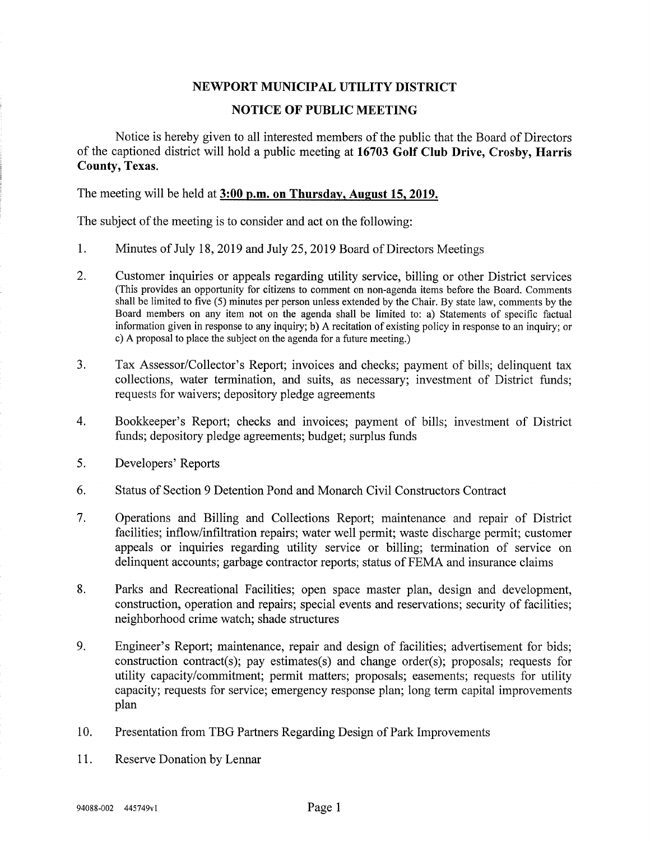#### NEWPORT MUNICIPAL UTILITY DISTRICT

#### NOTICE OF PUBLIC MEETING

Notice is hereby given to all interested members of the public that the Board of Directors of the captioned district will hold a public meeting at 16703 Golf Club Drive, Crosby, Harris County, Texas.

The meeting will be held at 3:00 p.m. on Thursday, August 15,2019.

The subject of the meeting is to consider and act on the following:

- 1. Minutes of July 18, 2019 and July 25, 2019 Board of Directors Meetings
- 2. Customer inquiries or appeals regarding utility service, billing or other District services (This provides an opportunity for citizens to comment on non-agenda items before the Board. Comments shall be limited to five (5) minutes per person unless extended by the Chair. By state law, comments by the Board members on any item not on the agenda shall be limited to: a) Statements of specific factual information given in response to any inquiry; b) A recitation of existing policy in response to an inquiry; or c) A proposal to place the subject on the agenda for a future meeting.)
- 3. Tax Assessor/Collector's Report; invoices and checks; payment of bills; delinquent tax collections, water termination, and suits, as necessary; investment of District funds; requests for waivers; depository pledge agreements
- 4. Bookkeeper's Report; checks and invoices; payment of bills; investment of District funds; depository pledge agreements; budget; surplus funds
- 5. Developers' Reports
- 6. Status of Section 9 Detention Pond and Monarch Civil Constructors Contract
- 7. Operations and Billing and Collections Report; maintenance and repair of District facilities; inflow/infiltration repairs; water well permit; waste discharge permit; customer appeals or inquiries regarding utility service or billing; termination of service on delinquent accounts; garbage contractor reports; status of FEMA and insurance claims
- 8. Parks and Recreational Facilities; open space master plan, design and development, construction, operation and repairs; special events and reservations; security of facilities; neighborhood crime watch; shade structures
- 9. Engineer's Report; maintenance, repair and design of facilities; advertisement for bids; construction contract(s); pay estimates(s) and change order(s); proposals; requests for utility capacity/commitment; permit matters; proposals; easements; requests for utility capacity; requests for service; emergency response plan; long term capital improvements plan
- 10. Presentation from TBG Partners Regarding Design of Park Improvements
- 11. Reserve Donation by Lennar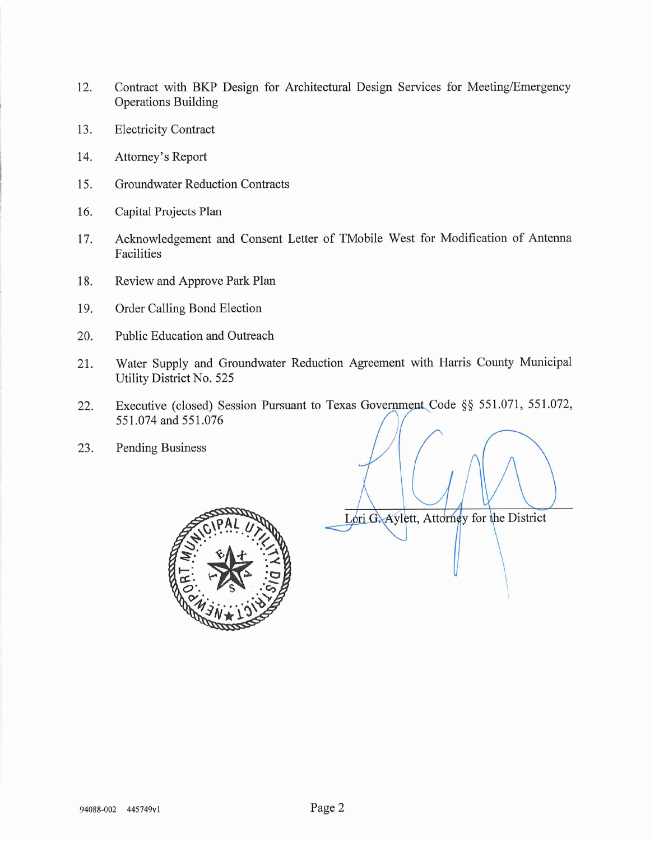- 12. Contract with BKP Design for Architectural Design Services for Meeting/Emergency Operations Building
- 13. Electricity Contract
- 14. Attorney's Report
- 15. Groundwater Reduction Contracts
- 16. Capital Projects Plan
- 17. Acknowledgement and Consent Letter of TMobile West for Modification of Antenna Facilities
- 18. Review and Approve Park Plan
- 19. Order Calling Bond Election
- 20. Public Education and Outreach
- 21. Water Supply and Groundwater Reduction Agreement with Harris County Municipal Utility District No. 525
- 22. Executive (closed) Session Pursuant to Texas Government, Code §§ 551.071, 551.072, 551.074 and 551.076
- 23. Pending Business



Lori G. Aylett, Attorney for the District